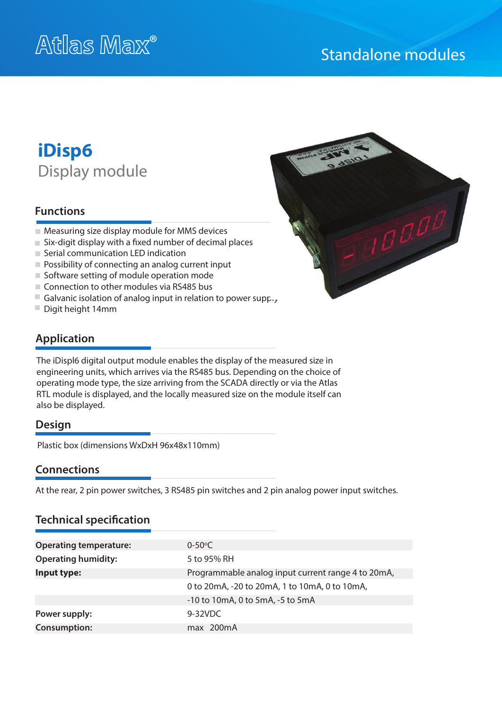# Standalone modules

# **iDisp6** Display module

## **Functions**

- Measuring size display module for MMS devices
- $\blacksquare$  Six-digit display with a fixed number of decimal places
- Serial communication LED indication
- **Possibility of connecting an analog current input**
- Software setting of module operation mode
- Connection to other modules via RS485 bus
- Galvanic isolation of analog input in relation to power supp.,
- Digit height 14mm



# **Application**

The iDispl6 digital output module enables the display of the measured size in engineering units, which arrives via the RS485 bus. Depending on the choice of operating mode type, the size arriving from the SCADA directly or via the Atlas RTL module is displayed, and the locally measured size on the module itself can also be displayed.

#### **Design**

Plastic box (dimensions WxDxH 96x48x110mm)

#### **Connections**

At the rear, 2 pin power switches, 3 RS485 pin switches and 2 pin analog power input switches.

### **Technical specification**

| <b>Operating temperature:</b> | $0 - 50^{\circ}C$                                  |
|-------------------------------|----------------------------------------------------|
| <b>Operating humidity:</b>    | 5 to 95% RH                                        |
| Input type:                   | Programmable analog input current range 4 to 20mA, |
|                               | 0 to 20mA, -20 to 20mA, 1 to 10mA, 0 to 10mA,      |
|                               | -10 to 10mA, 0 to 5mA, -5 to 5mA                   |
| Power supply:                 | 9-32VDC                                            |
| <b>Consumption:</b>           | max 200mA                                          |